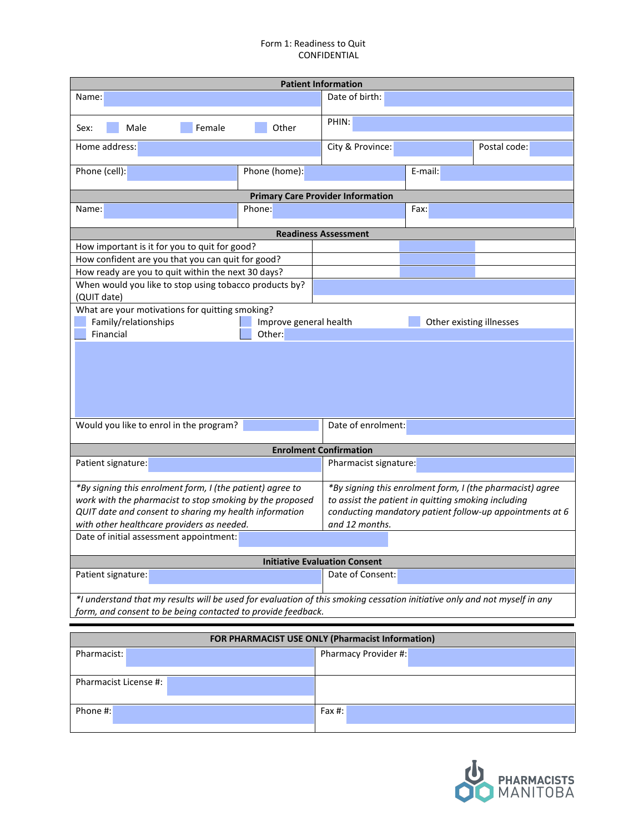## Form 1: Readiness to Quit CONFIDENTIAL

| <b>Patient Information</b>                                                                                                                                                                                                    |                                                                                                                                                                                                |                                          |         |                          |  |  |  |
|-------------------------------------------------------------------------------------------------------------------------------------------------------------------------------------------------------------------------------|------------------------------------------------------------------------------------------------------------------------------------------------------------------------------------------------|------------------------------------------|---------|--------------------------|--|--|--|
| Name:                                                                                                                                                                                                                         |                                                                                                                                                                                                | Date of birth:                           |         |                          |  |  |  |
| Male<br>Female<br>Sex:                                                                                                                                                                                                        | Other                                                                                                                                                                                          | PHIN:                                    |         |                          |  |  |  |
| Home address:                                                                                                                                                                                                                 |                                                                                                                                                                                                | City & Province:                         |         | Postal code:             |  |  |  |
| Phone (cell):                                                                                                                                                                                                                 | Phone (home):                                                                                                                                                                                  |                                          | E-mail: |                          |  |  |  |
|                                                                                                                                                                                                                               |                                                                                                                                                                                                | <b>Primary Care Provider Information</b> |         |                          |  |  |  |
| Name:                                                                                                                                                                                                                         | Phone:                                                                                                                                                                                         |                                          | Fax:    |                          |  |  |  |
|                                                                                                                                                                                                                               |                                                                                                                                                                                                | <b>Readiness Assessment</b>              |         |                          |  |  |  |
| How important is it for you to quit for good?                                                                                                                                                                                 |                                                                                                                                                                                                |                                          |         |                          |  |  |  |
| How confident are you that you can quit for good?                                                                                                                                                                             |                                                                                                                                                                                                |                                          |         |                          |  |  |  |
| How ready are you to quit within the next 30 days?                                                                                                                                                                            |                                                                                                                                                                                                |                                          |         |                          |  |  |  |
| When would you like to stop using tobacco products by?<br>(QUIT date)                                                                                                                                                         |                                                                                                                                                                                                |                                          |         |                          |  |  |  |
| What are your motivations for quitting smoking?                                                                                                                                                                               |                                                                                                                                                                                                |                                          |         |                          |  |  |  |
| Family/relationships                                                                                                                                                                                                          | Improve general health                                                                                                                                                                         |                                          |         | Other existing illnesses |  |  |  |
| Financial                                                                                                                                                                                                                     | Other:                                                                                                                                                                                         |                                          |         |                          |  |  |  |
|                                                                                                                                                                                                                               |                                                                                                                                                                                                |                                          |         |                          |  |  |  |
| Would you like to enrol in the program?                                                                                                                                                                                       |                                                                                                                                                                                                | Date of enrolment:                       |         |                          |  |  |  |
|                                                                                                                                                                                                                               |                                                                                                                                                                                                | <b>Enrolment Confirmation</b>            |         |                          |  |  |  |
| Patient signature:                                                                                                                                                                                                            |                                                                                                                                                                                                | Pharmacist signature:                    |         |                          |  |  |  |
| *By signing this enrolment form, I (the patient) agree to<br>work with the pharmacist to stop smoking by the proposed<br>QUIT date and consent to sharing my health information<br>with other healthcare providers as needed. | *By signing this enrolment form, I (the pharmacist) agree<br>to assist the patient in quitting smoking including<br>conducting mandatory patient follow-up appointments at 6<br>and 12 months. |                                          |         |                          |  |  |  |
| Date of initial assessment appointment:                                                                                                                                                                                       |                                                                                                                                                                                                |                                          |         |                          |  |  |  |
| <b>Initiative Evaluation Consent</b>                                                                                                                                                                                          |                                                                                                                                                                                                |                                          |         |                          |  |  |  |
| Patient signature:                                                                                                                                                                                                            |                                                                                                                                                                                                | Date of Consent:                         |         |                          |  |  |  |
| *I understand that my results will be used for evaluation of this smoking cessation initiative only and not myself in any<br>form, and consent to be being contacted to provide feedback.                                     |                                                                                                                                                                                                |                                          |         |                          |  |  |  |
|                                                                                                                                                                                                                               |                                                                                                                                                                                                |                                          |         |                          |  |  |  |
| FOR PHARMACIST USE ONLY (Pharmacist Information)                                                                                                                                                                              |                                                                                                                                                                                                |                                          |         |                          |  |  |  |
| Pharmacist:                                                                                                                                                                                                                   |                                                                                                                                                                                                | Pharmacy Provider #:                     |         |                          |  |  |  |

Pharmacist License #:

Phone #: Fax #:

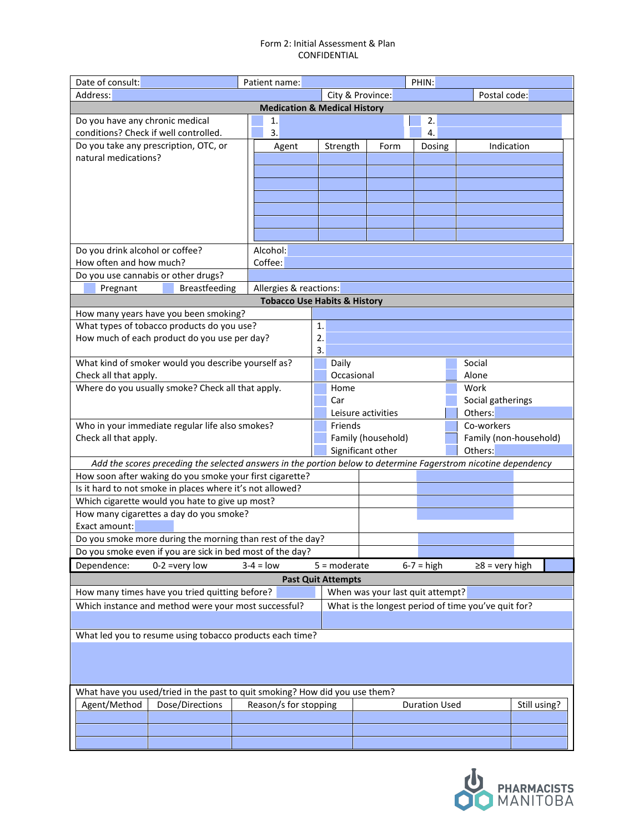## Form 2: Initial Assessment & Plan CONFIDENTIAL

| Date of consult:                                                                                               | PHIN:<br>Patient name:                                   |                                                     |                    |                      |                        |              |  |  |
|----------------------------------------------------------------------------------------------------------------|----------------------------------------------------------|-----------------------------------------------------|--------------------|----------------------|------------------------|--------------|--|--|
| Address:                                                                                                       |                                                          | City & Province:<br>Postal code:                    |                    |                      |                        |              |  |  |
| <b>Medication &amp; Medical History</b>                                                                        |                                                          |                                                     |                    |                      |                        |              |  |  |
| Do you have any chronic medical                                                                                | 1.                                                       |                                                     |                    | 2.                   |                        |              |  |  |
| conditions? Check if well controlled.                                                                          | 3.                                                       |                                                     |                    | 4.                   |                        |              |  |  |
| Do you take any prescription, OTC, or                                                                          | Agent                                                    | Strength                                            | Form               | Dosing               | Indication             |              |  |  |
| natural medications?                                                                                           |                                                          |                                                     |                    |                      |                        |              |  |  |
|                                                                                                                |                                                          |                                                     |                    |                      |                        |              |  |  |
|                                                                                                                |                                                          |                                                     |                    |                      |                        |              |  |  |
|                                                                                                                |                                                          |                                                     |                    |                      |                        |              |  |  |
|                                                                                                                |                                                          |                                                     |                    |                      |                        |              |  |  |
|                                                                                                                |                                                          |                                                     |                    |                      |                        |              |  |  |
|                                                                                                                |                                                          |                                                     |                    |                      |                        |              |  |  |
| Do you drink alcohol or coffee?                                                                                | Alcohol:                                                 |                                                     |                    |                      |                        |              |  |  |
| How often and how much?                                                                                        | Coffee:                                                  |                                                     |                    |                      |                        |              |  |  |
| Do you use cannabis or other drugs?                                                                            |                                                          |                                                     |                    |                      |                        |              |  |  |
| <b>Breastfeeding</b><br>Pregnant                                                                               | Allergies & reactions:                                   |                                                     |                    |                      |                        |              |  |  |
|                                                                                                                | <b>Tobacco Use Habits &amp; History</b>                  |                                                     |                    |                      |                        |              |  |  |
| How many years have you been smoking?                                                                          |                                                          |                                                     |                    |                      |                        |              |  |  |
| What types of tobacco products do you use?                                                                     |                                                          | 1.                                                  |                    |                      |                        |              |  |  |
| How much of each product do you use per day?                                                                   |                                                          | 2.                                                  |                    |                      |                        |              |  |  |
|                                                                                                                |                                                          | 3.                                                  |                    |                      |                        |              |  |  |
| What kind of smoker would you describe yourself as?                                                            |                                                          | Daily                                               |                    |                      |                        |              |  |  |
| Check all that apply.                                                                                          |                                                          | Occasional                                          |                    | Alone                |                        |              |  |  |
| Where do you usually smoke? Check all that apply.                                                              |                                                          | Home                                                |                    |                      |                        |              |  |  |
|                                                                                                                |                                                          | Car                                                 | Social gatherings  |                      |                        |              |  |  |
|                                                                                                                |                                                          |                                                     | Leisure activities |                      | Others:                |              |  |  |
| Who in your immediate regular life also smokes?                                                                | Friends                                                  |                                                     |                    | Co-workers           |                        |              |  |  |
| Check all that apply.                                                                                          |                                                          | Family (household)                                  |                    |                      | Family (non-household) |              |  |  |
|                                                                                                                |                                                          | Significant other                                   |                    | Others:              |                        |              |  |  |
| Add the scores preceding the selected answers in the portion below to determine Fagerstrom nicotine dependency |                                                          |                                                     |                    |                      |                        |              |  |  |
| How soon after waking do you smoke your first cigarette?                                                       |                                                          |                                                     |                    |                      |                        |              |  |  |
| Is it hard to not smoke in places where it's not allowed?                                                      |                                                          |                                                     |                    |                      |                        |              |  |  |
| Which cigarette would you hate to give up most?                                                                |                                                          |                                                     |                    |                      |                        |              |  |  |
| How many cigarettes a day do you smoke?                                                                        |                                                          |                                                     |                    |                      |                        |              |  |  |
| Exact amount:                                                                                                  |                                                          |                                                     |                    |                      |                        |              |  |  |
| Do you smoke more during the morning than rest of the day?                                                     |                                                          |                                                     |                    |                      |                        |              |  |  |
| Do you smoke even if you are sick in bed most of the day?                                                      |                                                          |                                                     |                    |                      |                        |              |  |  |
| Dependence:<br>$0-2$ =very low                                                                                 | $3-4 = low$                                              | $5 =$ moderate                                      |                    | $6-7 = high$         | $\geq 8$ = very high   |              |  |  |
|                                                                                                                |                                                          | <b>Past Quit Attempts</b>                           |                    |                      |                        |              |  |  |
| How many times have you tried quitting before?                                                                 | When was your last quit attempt?                         |                                                     |                    |                      |                        |              |  |  |
| Which instance and method were your most successful?                                                           |                                                          | What is the longest period of time you've quit for? |                    |                      |                        |              |  |  |
|                                                                                                                |                                                          |                                                     |                    |                      |                        |              |  |  |
|                                                                                                                |                                                          |                                                     |                    |                      |                        |              |  |  |
|                                                                                                                | What led you to resume using tobacco products each time? |                                                     |                    |                      |                        |              |  |  |
|                                                                                                                |                                                          |                                                     |                    |                      |                        |              |  |  |
|                                                                                                                |                                                          |                                                     |                    |                      |                        |              |  |  |
|                                                                                                                |                                                          |                                                     |                    |                      |                        |              |  |  |
| What have you used/tried in the past to quit smoking? How did you use them?                                    |                                                          |                                                     |                    |                      |                        |              |  |  |
| Agent/Method<br>Dose/Directions                                                                                | Reason/s for stopping                                    |                                                     |                    | <b>Duration Used</b> |                        | Still using? |  |  |
|                                                                                                                |                                                          |                                                     |                    |                      |                        |              |  |  |
|                                                                                                                |                                                          |                                                     |                    |                      |                        |              |  |  |
|                                                                                                                |                                                          |                                                     |                    |                      |                        |              |  |  |

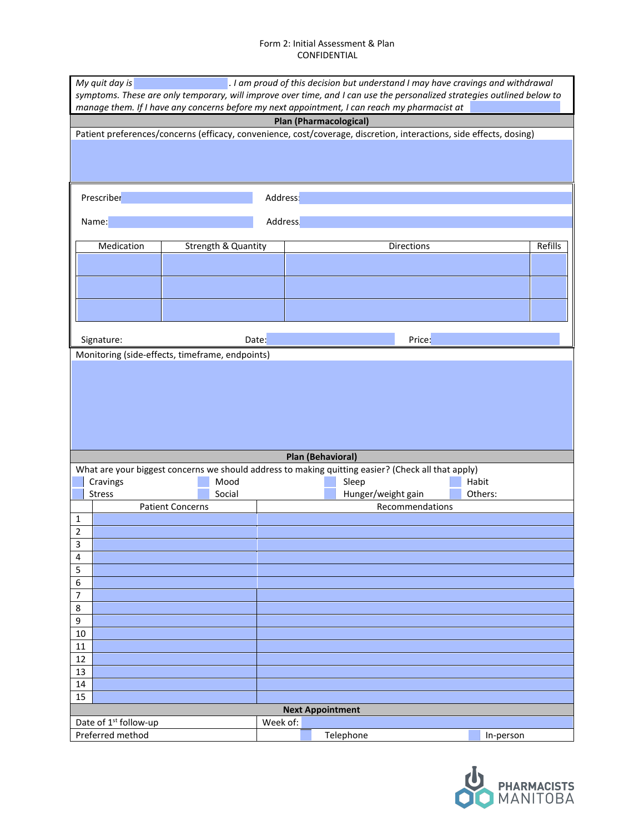## Form 2: Initial Assessment & Plan CONFIDENTIAL

| My quit day is<br>. I am proud of this decision but understand I may have cravings and withdrawal<br>symptoms. These are only temporary, will improve over time, and I can use the personalized strategies outlined below to |                                                                                                                     |                         |                     |                |                                                                                                    |           |  |  |
|------------------------------------------------------------------------------------------------------------------------------------------------------------------------------------------------------------------------------|---------------------------------------------------------------------------------------------------------------------|-------------------------|---------------------|----------------|----------------------------------------------------------------------------------------------------|-----------|--|--|
|                                                                                                                                                                                                                              | manage them. If I have any concerns before my next appointment, I can reach my pharmacist at                        |                         |                     |                |                                                                                                    |           |  |  |
| <b>Plan (Pharmacological)</b>                                                                                                                                                                                                |                                                                                                                     |                         |                     |                |                                                                                                    |           |  |  |
|                                                                                                                                                                                                                              | Patient preferences/concerns (efficacy, convenience, cost/coverage, discretion, interactions, side effects, dosing) |                         |                     |                |                                                                                                    |           |  |  |
|                                                                                                                                                                                                                              |                                                                                                                     |                         |                     |                |                                                                                                    |           |  |  |
|                                                                                                                                                                                                                              |                                                                                                                     |                         |                     |                |                                                                                                    |           |  |  |
|                                                                                                                                                                                                                              |                                                                                                                     |                         |                     |                |                                                                                                    |           |  |  |
|                                                                                                                                                                                                                              | Prescriber                                                                                                          |                         |                     | Address        |                                                                                                    |           |  |  |
|                                                                                                                                                                                                                              |                                                                                                                     |                         |                     |                |                                                                                                    |           |  |  |
|                                                                                                                                                                                                                              | Name:                                                                                                               |                         |                     | <b>Address</b> |                                                                                                    |           |  |  |
|                                                                                                                                                                                                                              | Medication                                                                                                          |                         |                     |                | Directions                                                                                         | Refills   |  |  |
|                                                                                                                                                                                                                              |                                                                                                                     |                         | Strength & Quantity |                |                                                                                                    |           |  |  |
|                                                                                                                                                                                                                              |                                                                                                                     |                         |                     |                |                                                                                                    |           |  |  |
|                                                                                                                                                                                                                              |                                                                                                                     |                         |                     |                |                                                                                                    |           |  |  |
|                                                                                                                                                                                                                              |                                                                                                                     |                         |                     |                |                                                                                                    |           |  |  |
|                                                                                                                                                                                                                              |                                                                                                                     |                         |                     |                |                                                                                                    |           |  |  |
|                                                                                                                                                                                                                              |                                                                                                                     |                         |                     |                |                                                                                                    |           |  |  |
|                                                                                                                                                                                                                              | Signature:                                                                                                          |                         | Date:               |                | Price:                                                                                             |           |  |  |
|                                                                                                                                                                                                                              | Monitoring (side-effects, timeframe, endpoints)                                                                     |                         |                     |                |                                                                                                    |           |  |  |
|                                                                                                                                                                                                                              |                                                                                                                     |                         |                     |                |                                                                                                    |           |  |  |
|                                                                                                                                                                                                                              |                                                                                                                     |                         |                     |                |                                                                                                    |           |  |  |
|                                                                                                                                                                                                                              |                                                                                                                     |                         |                     |                |                                                                                                    |           |  |  |
|                                                                                                                                                                                                                              |                                                                                                                     |                         |                     |                |                                                                                                    |           |  |  |
|                                                                                                                                                                                                                              |                                                                                                                     |                         |                     |                |                                                                                                    |           |  |  |
|                                                                                                                                                                                                                              |                                                                                                                     |                         |                     |                | Plan (Behavioral)                                                                                  |           |  |  |
|                                                                                                                                                                                                                              |                                                                                                                     |                         |                     |                | What are your biggest concerns we should address to making quitting easier? (Check all that apply) |           |  |  |
|                                                                                                                                                                                                                              | Cravings                                                                                                            |                         | Mood                |                | Sleep                                                                                              | Habit     |  |  |
|                                                                                                                                                                                                                              | <b>Stress</b>                                                                                                       |                         | Social              |                | Hunger/weight gain                                                                                 | Others:   |  |  |
|                                                                                                                                                                                                                              |                                                                                                                     | <b>Patient Concerns</b> |                     |                | Recommendations                                                                                    |           |  |  |
| 1<br>$\overline{2}$                                                                                                                                                                                                          |                                                                                                                     |                         |                     |                |                                                                                                    |           |  |  |
| $\overline{\mathbf{3}}$                                                                                                                                                                                                      |                                                                                                                     |                         |                     |                |                                                                                                    |           |  |  |
| 4                                                                                                                                                                                                                            |                                                                                                                     |                         |                     |                |                                                                                                    |           |  |  |
| 5                                                                                                                                                                                                                            |                                                                                                                     |                         |                     |                |                                                                                                    |           |  |  |
| 6                                                                                                                                                                                                                            |                                                                                                                     |                         |                     |                |                                                                                                    |           |  |  |
| 7                                                                                                                                                                                                                            |                                                                                                                     |                         |                     |                |                                                                                                    |           |  |  |
| 8<br>9                                                                                                                                                                                                                       |                                                                                                                     |                         |                     |                |                                                                                                    |           |  |  |
| $10\,$                                                                                                                                                                                                                       |                                                                                                                     |                         |                     |                |                                                                                                    |           |  |  |
| $11\,$                                                                                                                                                                                                                       |                                                                                                                     |                         |                     |                |                                                                                                    |           |  |  |
| 12                                                                                                                                                                                                                           |                                                                                                                     |                         |                     |                |                                                                                                    |           |  |  |
| 13                                                                                                                                                                                                                           |                                                                                                                     |                         |                     |                |                                                                                                    |           |  |  |
| $14\,$                                                                                                                                                                                                                       |                                                                                                                     |                         |                     |                |                                                                                                    |           |  |  |
|                                                                                                                                                                                                                              | 15                                                                                                                  |                         |                     |                |                                                                                                    |           |  |  |
|                                                                                                                                                                                                                              | <b>Next Appointment</b><br>Week of:<br>Date of 1 <sup>st</sup> follow-up                                            |                         |                     |                |                                                                                                    |           |  |  |
|                                                                                                                                                                                                                              | Preferred method                                                                                                    |                         |                     |                | Telephone                                                                                          | In-person |  |  |

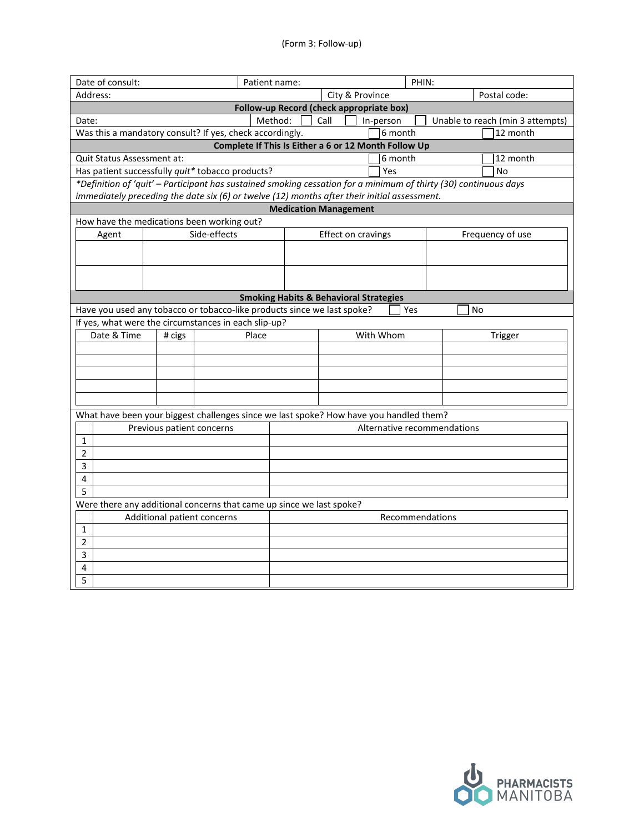| Date of consult:                                                                                                 | Patient name:                                                        | PHIN:                           |                             |    |                                  |  |  |  |  |
|------------------------------------------------------------------------------------------------------------------|----------------------------------------------------------------------|---------------------------------|-----------------------------|----|----------------------------------|--|--|--|--|
| Address:                                                                                                         |                                                                      | City & Province<br>Postal code: |                             |    |                                  |  |  |  |  |
| Follow-up Record (check appropriate box)                                                                         |                                                                      |                                 |                             |    |                                  |  |  |  |  |
| Date:                                                                                                            | Method:                                                              | Call<br>In-person               |                             |    | Unable to reach (min 3 attempts) |  |  |  |  |
| Was this a mandatory consult? If yes, check accordingly.                                                         |                                                                      |                                 | 6 month                     |    | 12 month                         |  |  |  |  |
| Complete If This Is Either a 6 or 12 Month Follow Up                                                             |                                                                      |                                 |                             |    |                                  |  |  |  |  |
| Quit Status Assessment at:                                                                                       |                                                                      |                                 | 6 month                     |    | 12 month                         |  |  |  |  |
| Has patient successfully quit* tobacco products?                                                                 |                                                                      | Yes                             |                             |    | No                               |  |  |  |  |
| *Definition of 'quit' - Participant has sustained smoking cessation for a minimum of thirty (30) continuous days |                                                                      |                                 |                             |    |                                  |  |  |  |  |
| immediately preceding the date six (6) or twelve (12) months after their initial assessment.                     |                                                                      |                                 |                             |    |                                  |  |  |  |  |
|                                                                                                                  |                                                                      | <b>Medication Management</b>    |                             |    |                                  |  |  |  |  |
| How have the medications been working out?                                                                       |                                                                      |                                 |                             |    |                                  |  |  |  |  |
| Side-effects<br>Agent                                                                                            |                                                                      | Effect on cravings              |                             |    | Frequency of use                 |  |  |  |  |
|                                                                                                                  |                                                                      |                                 |                             |    |                                  |  |  |  |  |
|                                                                                                                  |                                                                      |                                 |                             |    |                                  |  |  |  |  |
|                                                                                                                  |                                                                      |                                 |                             |    |                                  |  |  |  |  |
|                                                                                                                  |                                                                      |                                 |                             |    |                                  |  |  |  |  |
|                                                                                                                  | <b>Smoking Habits &amp; Behavioral Strategies</b>                    |                                 |                             |    |                                  |  |  |  |  |
| Have you used any tobacco or tobacco-like products since we last spoke?                                          |                                                                      |                                 | Yes                         | No |                                  |  |  |  |  |
| If yes, what were the circumstances in each slip-up?                                                             |                                                                      |                                 |                             |    |                                  |  |  |  |  |
| Date & Time<br># cigs                                                                                            | Place                                                                | With Whom                       |                             |    | Trigger                          |  |  |  |  |
|                                                                                                                  |                                                                      |                                 |                             |    |                                  |  |  |  |  |
|                                                                                                                  |                                                                      |                                 |                             |    |                                  |  |  |  |  |
|                                                                                                                  |                                                                      |                                 |                             |    |                                  |  |  |  |  |
|                                                                                                                  |                                                                      |                                 |                             |    |                                  |  |  |  |  |
|                                                                                                                  |                                                                      |                                 |                             |    |                                  |  |  |  |  |
| What have been your biggest challenges since we last spoke? How have you handled them?                           |                                                                      |                                 |                             |    |                                  |  |  |  |  |
| Previous patient concerns                                                                                        |                                                                      |                                 | Alternative recommendations |    |                                  |  |  |  |  |
| $\mathbf{1}$                                                                                                     |                                                                      |                                 |                             |    |                                  |  |  |  |  |
| $\overline{2}$                                                                                                   |                                                                      |                                 |                             |    |                                  |  |  |  |  |
| 3                                                                                                                |                                                                      |                                 |                             |    |                                  |  |  |  |  |
| 4                                                                                                                |                                                                      |                                 |                             |    |                                  |  |  |  |  |
| 5                                                                                                                |                                                                      |                                 |                             |    |                                  |  |  |  |  |
|                                                                                                                  | Were there any additional concerns that came up since we last spoke? |                                 |                             |    |                                  |  |  |  |  |
| Additional patient concerns<br>Recommendations                                                                   |                                                                      |                                 |                             |    |                                  |  |  |  |  |
| 1                                                                                                                |                                                                      |                                 |                             |    |                                  |  |  |  |  |
| $\overline{2}$                                                                                                   |                                                                      |                                 |                             |    |                                  |  |  |  |  |
| 3                                                                                                                |                                                                      |                                 |                             |    |                                  |  |  |  |  |
| 4                                                                                                                |                                                                      |                                 |                             |    |                                  |  |  |  |  |
| 5                                                                                                                |                                                                      |                                 |                             |    |                                  |  |  |  |  |